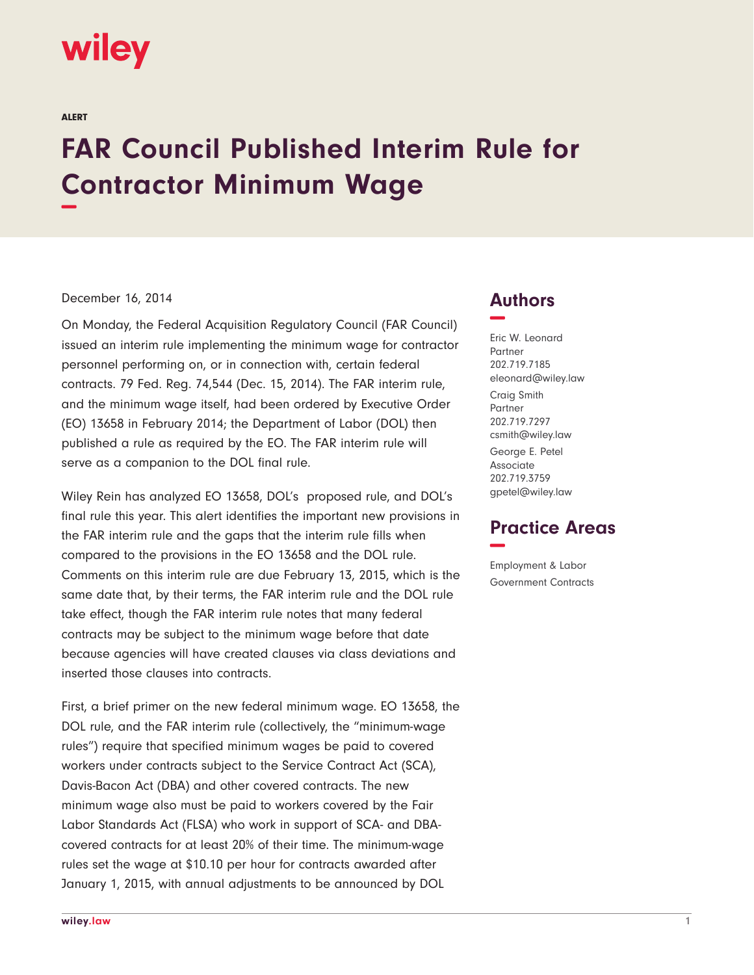# wiley

ALERT

# **FAR Council Published Interim Rule for Contractor Minimum Wage −**

#### December 16, 2014

On Monday, the Federal Acquisition Regulatory Council (FAR Council) issued an interim rule implementing the minimum wage for contractor personnel performing on, or in connection with, certain federal contracts. 79 Fed. Reg. 74,544 (Dec. 15, 2014). The FAR interim rule, and the minimum wage itself, had been ordered by Executive Order (EO) 13658 in February 2014; the Department of Labor (DOL) then published a rule as required by the EO. The FAR interim rule will serve as a companion to the DOL final rule.

Wiley Rein has analyzed EO 13658, DOL's proposed rule, and DOL's final rule this year. This alert identifies the important new provisions in the FAR interim rule and the gaps that the interim rule fills when compared to the provisions in the EO 13658 and the DOL rule. Comments on this interim rule are due February 13, 2015, which is the same date that, by their terms, the FAR interim rule and the DOL rule take effect, though the FAR interim rule notes that many federal contracts may be subject to the minimum wage before that date because agencies will have created clauses via class deviations and inserted those clauses into contracts.

First, a brief primer on the new federal minimum wage. EO 13658, the DOL rule, and the FAR interim rule (collectively, the "minimum-wage rules") require that specified minimum wages be paid to covered workers under contracts subject to the Service Contract Act (SCA), Davis-Bacon Act (DBA) and other covered contracts. The new minimum wage also must be paid to workers covered by the Fair Labor Standards Act (FLSA) who work in support of SCA- and DBAcovered contracts for at least 20% of their time. The minimum-wage rules set the wage at \$10.10 per hour for contracts awarded after January 1, 2015, with annual adjustments to be announced by DOL

### **Authors −**

Eric W. Leonard Partner 202.719.7185 eleonard@wiley.law Craig Smith Partner 202.719.7297 csmith@wiley.law George E. Petel Associate 202.719.3759 gpetel@wiley.law

## **Practice Areas −**

Employment & Labor Government Contracts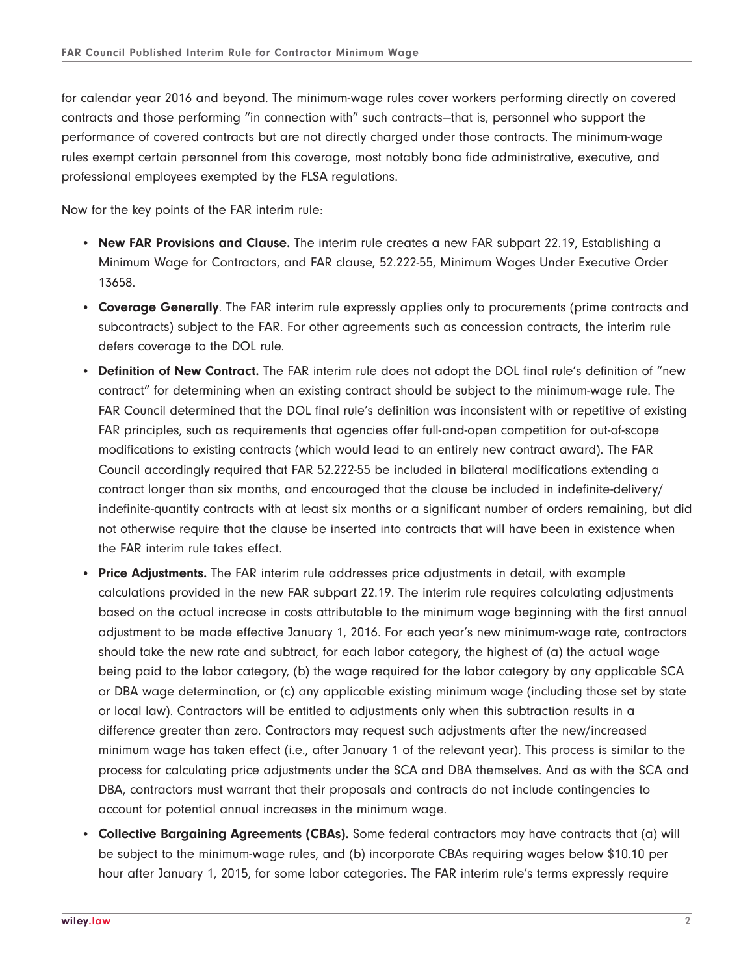for calendar year 2016 and beyond. The minimum-wage rules cover workers performing directly on covered contracts and those performing "in connection with" such contracts—that is, personnel who support the performance of covered contracts but are not directly charged under those contracts. The minimum-wage rules exempt certain personnel from this coverage, most notably bona fide administrative, executive, and professional employees exempted by the FLSA regulations.

Now for the key points of the FAR interim rule:

- **New FAR Provisions and Clause.** The interim rule creates a new FAR subpart 22.19, Establishing a Minimum Wage for Contractors, and FAR clause, 52.222-55, Minimum Wages Under Executive Order 13658.
- **Coverage Generally**. The FAR interim rule expressly applies only to procurements (prime contracts and subcontracts) subject to the FAR. For other agreements such as concession contracts, the interim rule defers coverage to the DOL rule.
- **Definition of New Contract.** The FAR interim rule does not adopt the DOL final rule's definition of "new contract" for determining when an existing contract should be subject to the minimum-wage rule. The FAR Council determined that the DOL final rule's definition was inconsistent with or repetitive of existing FAR principles, such as requirements that agencies offer full-and-open competition for out-of-scope modifications to existing contracts (which would lead to an entirely new contract award). The FAR Council accordingly required that FAR 52.222-55 be included in bilateral modifications extending a contract longer than six months, and encouraged that the clause be included in indefinite-delivery/ indefinite-quantity contracts with at least six months or a significant number of orders remaining, but did not otherwise require that the clause be inserted into contracts that will have been in existence when the FAR interim rule takes effect.
- **Price Adjustments.** The FAR interim rule addresses price adjustments in detail, with example calculations provided in the new FAR subpart 22.19. The interim rule requires calculating adjustments based on the actual increase in costs attributable to the minimum wage beginning with the first annual adjustment to be made effective January 1, 2016. For each year's new minimum-wage rate, contractors should take the new rate and subtract, for each labor category, the highest of (a) the actual wage being paid to the labor category, (b) the wage required for the labor category by any applicable SCA or DBA wage determination, or (c) any applicable existing minimum wage (including those set by state or local law). Contractors will be entitled to adjustments only when this subtraction results in a difference greater than zero. Contractors may request such adjustments after the new/increased minimum wage has taken effect (i.e., after January 1 of the relevant year). This process is similar to the process for calculating price adjustments under the SCA and DBA themselves. And as with the SCA and DBA, contractors must warrant that their proposals and contracts do not include contingencies to account for potential annual increases in the minimum wage.
- **Collective Bargaining Agreements (CBAs).** Some federal contractors may have contracts that (a) will be subject to the minimum-wage rules, and (b) incorporate CBAs requiring wages below \$10.10 per hour after January 1, 2015, for some labor categories. The FAR interim rule's terms expressly require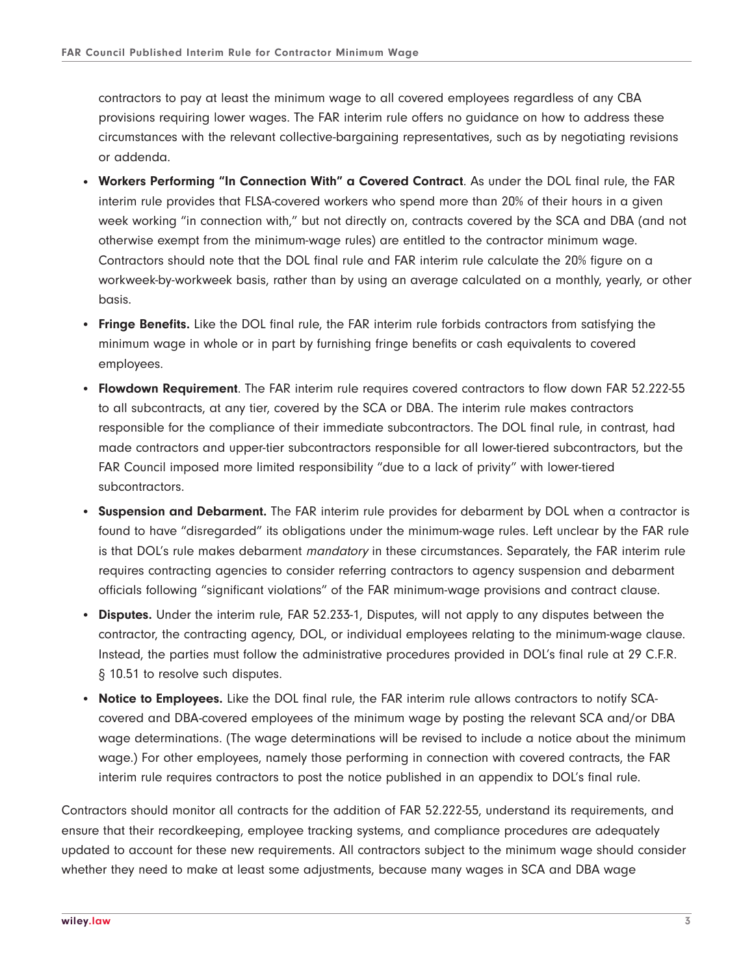contractors to pay at least the minimum wage to all covered employees regardless of any CBA provisions requiring lower wages. The FAR interim rule offers no guidance on how to address these circumstances with the relevant collective-bargaining representatives, such as by negotiating revisions or addenda.

- **Workers Performing "In Connection With" a Covered Contract**. As under the DOL final rule, the FAR interim rule provides that FLSA-covered workers who spend more than 20% of their hours in a given week working "in connection with," but not directly on, contracts covered by the SCA and DBA (and not otherwise exempt from the minimum-wage rules) are entitled to the contractor minimum wage. Contractors should note that the DOL final rule and FAR interim rule calculate the 20% figure on a workweek-by-workweek basis, rather than by using an average calculated on a monthly, yearly, or other basis.
- **Fringe Benefits.** Like the DOL final rule, the FAR interim rule forbids contractors from satisfying the minimum wage in whole or in part by furnishing fringe benefits or cash equivalents to covered employees.
- **Flowdown Requirement**. The FAR interim rule requires covered contractors to flow down FAR 52.222-55 to all subcontracts, at any tier, covered by the SCA or DBA. The interim rule makes contractors responsible for the compliance of their immediate subcontractors. The DOL final rule, in contrast, had made contractors and upper-tier subcontractors responsible for all lower-tiered subcontractors, but the FAR Council imposed more limited responsibility "due to a lack of privity" with lower-tiered subcontractors.
- **Suspension and Debarment.** The FAR interim rule provides for debarment by DOL when a contractor is found to have "disregarded" its obligations under the minimum-wage rules. Left unclear by the FAR rule is that DOL's rule makes debarment mandatory in these circumstances. Separately, the FAR interim rule requires contracting agencies to consider referring contractors to agency suspension and debarment officials following "significant violations" of the FAR minimum-wage provisions and contract clause.
- **Disputes.** Under the interim rule, FAR 52.233-1, Disputes, will not apply to any disputes between the contractor, the contracting agency, DOL, or individual employees relating to the minimum-wage clause. Instead, the parties must follow the administrative procedures provided in DOL's final rule at 29 C.F.R. § 10.51 to resolve such disputes.
- **Notice to Employees.** Like the DOL final rule, the FAR interim rule allows contractors to notify SCAcovered and DBA-covered employees of the minimum wage by posting the relevant SCA and/or DBA wage determinations. (The wage determinations will be revised to include a notice about the minimum wage.) For other employees, namely those performing in connection with covered contracts, the FAR interim rule requires contractors to post the notice published in an appendix to DOL's final rule.

Contractors should monitor all contracts for the addition of FAR 52.222-55, understand its requirements, and ensure that their recordkeeping, employee tracking systems, and compliance procedures are adequately updated to account for these new requirements. All contractors subject to the minimum wage should consider whether they need to make at least some adjustments, because many wages in SCA and DBA wage